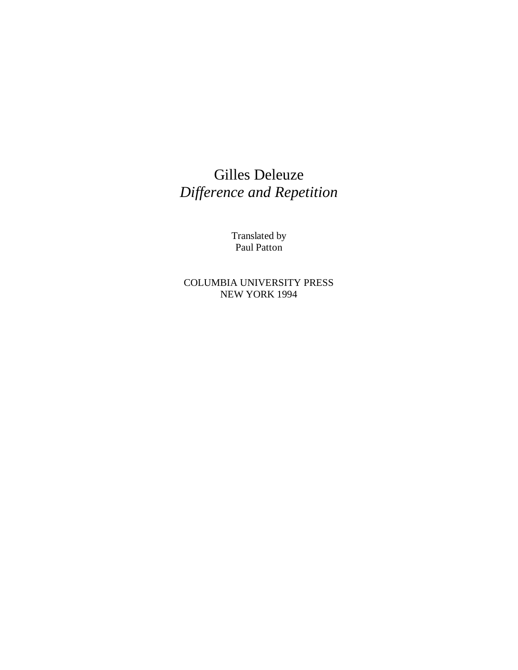## Gilles Deleuze *Difference and Repetition*

Translated by Paul Patton

COLUMBIA UNIVERSITY PRESS NEW YORK 1994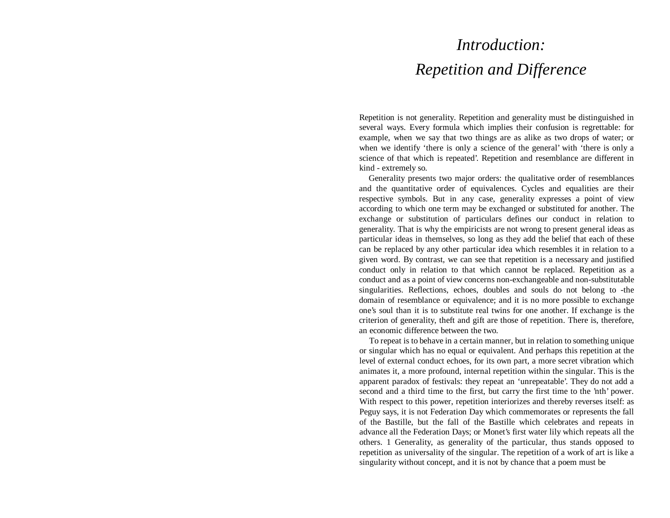# *Introduction: Repetition and Difference*

Repetition is not generality. Repetition and generality must be distinguished in several ways. Every formula which implies their confusion is regrettable: for example, when we say that two things are as alike as two drops of water; or when we identify 'there is only a science of the general' with 'there is only a science of that which is repeated'. Repetition and resemblance are different in kind - extremely so.

Generality presents two major orders: the qualitative order of resemblances and the quantitative order of equivalences. Cycles and equalities are their respective symbols. But in any case, generality expresses a point of view according to which one term may be exchanged or substituted for another. The exchange or substitution of particulars defines our conduct in relation to generality. That is why the empiricists are not wrong to present general ideas as particular ideas in themselves, so long as they add the belief that each of these can be replaced by any other particular idea which resembles it in relation to a given word. By contrast, we can see that repetition is a necessary and justified conduct only in relation to that which cannot be replaced. Repetition as a conduct and as a point of view concerns non-exchangeable and non-substitutable singularities. Reflections, echoes, doubles and souls do not belong to -the domain of resemblance or equivalence; and it is no more possible to exchange one's soul than it is to substitute real twins for one another. If exchange is the criterion of generality, theft and gift are those of repetition. There is, therefore, an economic difference between the two.

To repeat is to behave in a certain manner, but in relation to something unique or singular which has no equal or equivalent. And perhaps this repetition at the level of external conduct echoes, for its own part, a more secret vibration which animates it, a more profound, internal repetition within the singular. This is the apparent paradox of festivals: they repeat an 'unrepeatable'. They do not add a second and a third time to the first, but carry the first time to the 'nth' power. With respect to this power, repetition interiorizes and thereby reverses itself: as Peguy says, it is not Federation Day which commemorates or represents the fall of the Bastille, but the fall of the Bastille which celebrates and repeats in advance all the Federation Days; or Monet's first water lily which repeats all the others. 1 Generality, as generality of the particular, thus stands opposed to repetition as universality of the singular. The repetition of a work of art is like a singularity without concept, and it is not by chance that a poem must be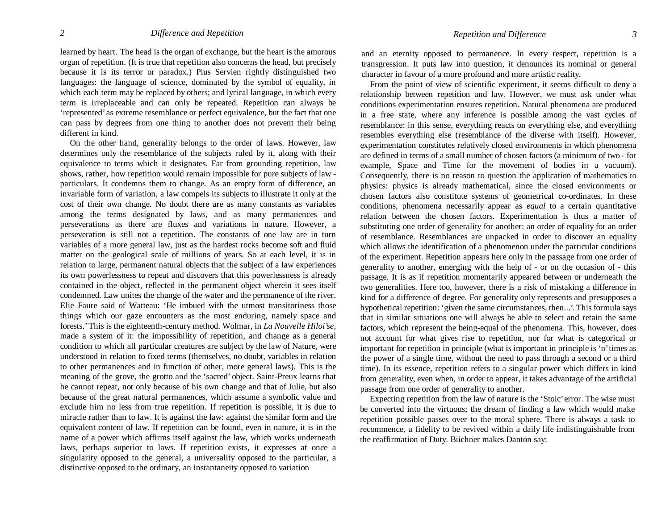learned by heart. The head is the organ of exchange, but the heart is the amorous organ of repetition. (It is true that repetition also concerns the head, but precisely because it is its terror or paradox.) Pius Servien rightly distinguished two languages: the language of science, dominated by the symbol of equality, in which each term may be replaced by others; and lyrical language, in which every term is irreplaceable and can only be repeated. Repetition can always be 'represented' as extreme resemblance or perfect equivalence, but the fact that one can pass by degrees from one thing to another does not prevent their being different in kind.

On the other hand, generality belongs to the order of laws. However, law determines only the resemblance of the subjects ruled by it, along with their equivalence to terms which it designates. Far from grounding repetition, law shows, rather, how repetition would remain impossible for pure subjects of law particulars. It condemns them to change. As an empty form of difference, an invariable form of variation, a law compels its subjects to illustrate it only at the cost of their own change. No doubt there are as many constants as variables among the terms designated by laws, and as many permanences and perseverations as there are fluxes and variations in nature. However, a perseveration is still not a repetition. The constants of one law are in turn variables of a more general law, just as the hardest rocks become soft and fluid matter on the geological scale of millions of years. So at each level, it is in relation to large, permanent natural objects that the subject of a law experiences its own powerlessness to repeat and discovers that this powerlessness is already contained in the object, reflected in the permanent object wherein it sees itself condemned. Law unites the change of the water and the permanence of the river. Elie Faure said of Watteau: 'He imbued with the utmost transitoriness those things which our gaze encounters as the most enduring, namely space and forests.' This is the eighteenth-century method. Wolmar, in *La Nouvelle Hiloi'se,*  made a system of it: the impossibility of repetition, and change as a general condition to which all particular creatures are subject by the law of Nature, were understood in relation to fixed terms (themselves, no doubt, variables in relation to other permanences and in function of other, more general laws). This is the meaning of the grove, the grotto and the 'sacred' object. Saint-Preux learns that he cannot repeat, not only because of his own change and that of Julie, but also because of the great natural permanences, which assume a symbolic value and exclude him no less from true repetition. If repetition is possible, it is due to miracle rather than to law. It is against the law: against the similar form and the equivalent content of law. If repetition can be found, even in nature, it is in the name of a power which affirms itself against the law, which works underneath laws, perhaps superior to laws. If repetition exists, it expresses at once a singularity opposed to the general, a universality opposed to the particular, a distinctive opposed to the ordinary, an instantaneity opposed to variation

and an eternity opposed to permanence. In every respect, repetition is a transgression. It puts law into question, it denounces its nominal or general character in favour of a more profound and more artistic reality.

From the point of view of scientific experiment, it seems difficult to deny a relationship between repetition and law. However, we must ask under what conditions experimentation ensures repetition. Natural phenomena are produced in a free state, where any inference is possible among the vast cycles of resemblance: in this sense, everything reacts on everything else, and everything resembles everything else (resemblance of the diverse with itself). However, experimentation constitutes relatively closed environments in which phenomena are defined in terms of a small number of chosen factors (a minimum of two - for example, Space and Time for the movement of bodies in a vacuum). Consequently, there is no reason to question the application of mathematics to physics: physics is already mathematical, since the closed environments or chosen factors also constitute systems of geometrical co-ordinates. In these conditions, phenomena necessarily appear as *equal* to a certain quantitative relation between the chosen factors. Experimentation is thus a matter of substituting one order of generality for another: an order of equality for an order of resemblance. Resemblances are unpacked in order to discover an equality which allows the identification of a phenomenon under the particular conditions of the experiment. Repetition appears here only in the passage from one order of generality to another, emerging with the help of - or on the occasion of - this passage. It is as if repetition momentarily appeared between or underneath the two generalities. Here too, however, there is a risk of mistaking a difference in kind for a difference of degree. For generality only represents and presupposes a hypothetical repetition: 'given the same circumstances, then...'. This formula says that in similar situations one will always be able to select and retain the same factors, which represent the being-equal of the phenomena. This, however, does not account for what gives rise to repetition, nor for what is categorical or important for repetition in principle (what is important in principle is 'n' times as the power of a single time, without the need to pass through a second or a third time). In its essence, repetition refers to a singular power which differs in kind from generality, even when, in order to appear, it takes advantage of the artificial passage from one order of generality to another.

Expecting repetition from the law of nature is the 'Stoic' error. The wise must be converted into the virtuous; the dream of finding a law which would make repetition possible passes over to the moral sphere. There is always a task to recommence, a fidelity to be revived within a daily life indistinguishable from the reaffirmation of Duty. Biichner makes Danton say: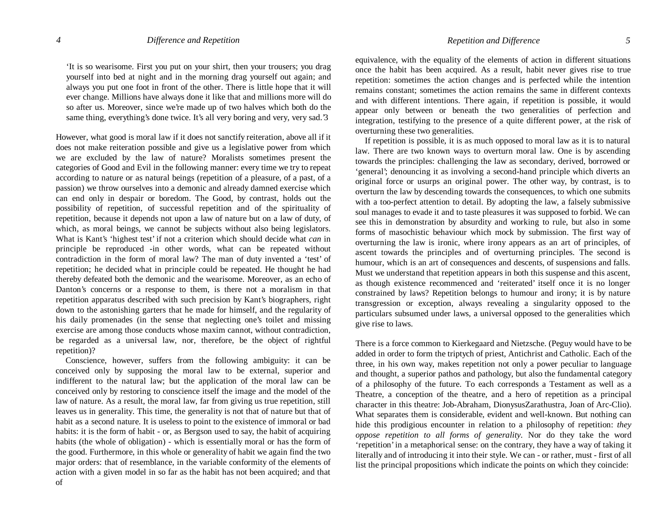'It is so wearisome. First you put on your shirt, then your trousers; you drag yourself into bed at night and in the morning drag yourself out again; and always you put one foot in front of the other. There is little hope that it will ever change. Millions have always done it like that and millions more will do so after us. Moreover, since we're made up of two halves which both do the same thing, everything's done twice. It's all very boring and very, very sad.'3

However, what good is moral law if it does not sanctify reiteration, above all if it does not make reiteration possible and give us a legislative power from which we are excluded by the law of nature? Moralists sometimes present the categories of Good and Evil in the following manner: every time we try to repeat according to nature or as natural beings (repetition of a pleasure, of a past, of a passion) we throw ourselves into a demonic and already damned exercise which can end only in despair or boredom. The Good, by contrast, holds out the possibility of repetition, of successful repetition and of the spirituality of repetition, because it depends not upon a law of nature but on a law of duty, of which, as moral beings, we cannot be subjects without also being legislators. What is Kant's 'highest test' if not a criterion which should decide what *can* in principle be reproduced -in other words, what can be repeated without contradiction in the form of moral law? The man of duty invented a 'test' of repetition; he decided what in principle could be repeated. He thought he had thereby defeated both the demonic and the wearisome. Moreover, as an echo of Danton's concerns or a response to them, is there not a moralism in that repetition apparatus described with such precision by Kant's biographers, right down to the astonishing garters that he made for himself, and the regularity of his daily promenades (in the sense that neglecting one's toilet and missing exercise are among those conducts whose maxim cannot, without contradiction, be regarded as a universal law, nor, therefore, be the object of rightful repetition)?

Conscience, however, suffers from the following ambiguity: it can be conceived only by supposing the moral law to be external, superior and indifferent to the natural law; but the application of the moral law can be conceived only by restoring to conscience itself the image and the model of the law of nature. As a result, the moral law, far from giving us true repetition, still leaves us in generality. This time, the generality is not that of nature but that of habit as a second nature. It is useless to point to the existence of immoral or bad habits: it is the form of habit - or, as Bergson used to say, the habit of acquiring habits (the whole of obligation) - which is essentially moral or has the form of the good. Furthermore, in this whole or generality of habit we again find the two major orders: that of resemblance, in the variable conformity of the elements of action with a given model in so far as the habit has not been acquired; and that of

equivalence, with the equality of the elements of action in different situations once the habit has been acquired. As a result, habit never gives rise to true repetition: sometimes the action changes and is perfected while the intention remains constant; sometimes the action remains the same in different contexts and with different intentions. There again, if repetition is possible, it would appear only between or beneath the two generalities of perfection and integration, testifying to the presence of a quite different power, at the risk of overturning these two generalities.

If repetition is possible, it is as much opposed to moral law as it is to natural law. There are two known ways to overturn moral law. One is by ascending towards the principles: challenging the law as secondary, derived, borrowed or 'general'; denouncing it as involving a second-hand principle which diverts an original force or usurps an original power. The other way, by contrast, is to overturn the law by descending towards the consequences, to which one submits with a too-perfect attention to detail. By adopting the law, a falsely submissive soul manages to evade it and to taste pleasures it was supposed to forbid. We can see this in demonstration by absurdity and working to rule, but also in some forms of masochistic behaviour which mock by submission. The first way of overturning the law is ironic, where irony appears as an art of principles, of ascent towards the principles and of overturning principles. The second is humour, which is an art of consequences and descents, of suspensions and falls. Must we understand that repetition appears in both this suspense and this ascent, as though existence recommenced and 'reiterated' itself once it is no longer constrained by laws? Repetition belongs to humour and irony; it is by nature transgression or exception, always revealing a singularity opposed to the particulars subsumed under laws, a universal opposed to the generalities which give rise to laws.

There is a force common to Kierkegaard and Nietzsche. (Peguy would have to be added in order to form the triptych of priest, Antichrist and Catholic. Each of the three, in his own way, makes repetition not only a power peculiar to language and thought, a superior pathos and pathology, but also the fundamental category of a philosophy of the future. To each corresponds a Testament as well as a Theatre, a conception of the theatre, and a hero of repetition as a principal character in this theatre: Job-Abraham, DionysusZarathustra, Joan of Arc-Clio). What separates them is considerable, evident and well-known. But nothing can hide this prodigious encounter in relation to a philosophy of repetition: *they oppose repetition to all forms of generality.* Nor do they take the word 'repetition' in a metaphorical sense: on the contrary, they have a way of taking it literally and of introducing it into their style. We can - or rather, must - first of all list the principal propositions which indicate the points on which they coincide: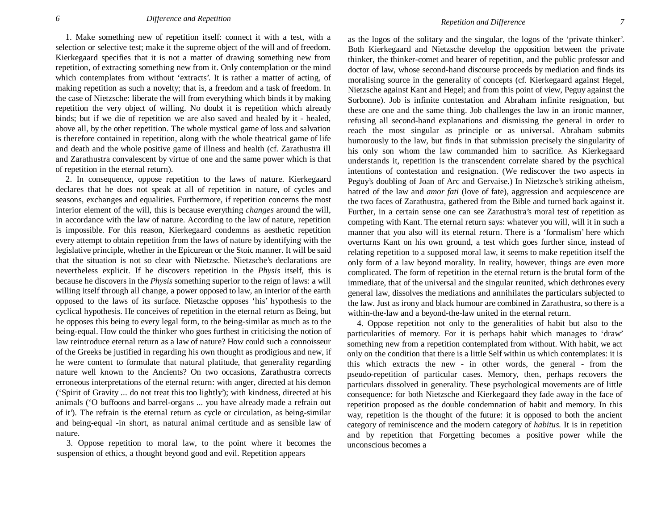1. Make something new of repetition itself: connect it with a test, with a selection or selective test; make it the supreme object of the will and of freedom. Kierkegaard specifies that it is not a matter of drawing something new from repetition, of extracting something new from it. Only contemplation or the mind which contemplates from without 'extracts'. It is rather a matter of acting, of making repetition as such a novelty; that is, a freedom and a task of freedom. In the case of Nietzsche: liberate the will from everything which binds it by making repetition the very object of willing. No doubt it is repetition which already binds; but if we die of repetition we are also saved and healed by it - healed, above all, by the other repetition. The whole mystical game of loss and salvation is therefore contained in repetition, along with the whole theatrical game of life and death and the whole positive game of illness and health (cf. Zarathustra ill and Zarathustra convalescent by virtue of one and the same power which is that of repetition in the eternal return).

2. In consequence, oppose repetition to the laws of nature. Kierkegaard declares that he does not speak at all of repetition in nature, of cycles and seasons, exchanges and equalities. Furthermore, if repetition concerns the most interior element of the will, this is because everything *changes* around the will, in accordance with the law of nature. According to the law of nature, repetition is impossible. For this reason, Kierkegaard condemns as aesthetic repetition every attempt to obtain repetition from the laws of nature by identifying with the legislative principle, whether in the Epicurean or the Stoic manner. It will be said that the situation is not so clear with Nietzsche. Nietzsche's declarations are nevertheless explicit. If he discovers repetition in the *Physis* itself, this is because he discovers in the *Physis* something superior to the reign of laws: a will willing itself through all change, a power opposed to law, an interior of the earth opposed to the laws of its surface. Nietzsche opposes 'his' hypothesis to the cyclical hypothesis. He conceives of repetition in the eternal return as Being, but he opposes this being to every legal form, to the being-similar as much as to the being-equal. How could the thinker who goes furthest in criticising the notion of law reintroduce eternal return as a law of nature? How could such a connoisseur of the Greeks be justified in regarding his own thought as prodigious and new, if he were content to formulate that natural platitude, that generality regarding nature well known to the Ancients? On two occasions, Zarathustra corrects erroneous interpretations of the eternal return: with anger, directed at his demon ('Spirit of Gravity ... do not treat this too lightly'); with kindness, directed at his animals ('O buffoons and barrel-organs ... you have already made a refrain out of it'). The refrain is the eternal return as cycle or circulation, as being-similar and being-equal -in short, as natural animal certitude and as sensible law of nature.

3. Oppose repetition to moral law, to the point where it becomes the suspension of ethics, a thought beyond good and evil. Repetition appears

#### *Repetition and Difference 7*

as the logos of the solitary and the singular, the logos of the 'private thinker'. Both Kierkegaard and Nietzsche develop the opposition between the private thinker, the thinker-comet and bearer of repetition, and the public professor and doctor of law, whose second-hand discourse proceeds by mediation and finds its moralising source in the generality of concepts (cf. Kierkegaard against Hegel, Nietzsche against Kant and Hegel; and from this point of view, Peguy against the Sorbonne). Job is infinite contestation and Abraham infinite resignation, but these are one and the same thing. Job challenges the law in an ironic manner,

refusing all second-hand explanations and dismissing the general in order to reach the most singular as principle or as universal. Abraham submits humorously to the law, but finds in that submission precisely the singularity of his only son whom the law commanded him to sacrifice. As Kierkegaard understands it, repetition is the transcendent correlate shared by the psychical intentions of contestation and resignation. (We rediscover the two aspects in Peguy's doubling of Joan of Arc and Gervaise.) In Nietzsche's striking atheism, hatred of the law and *amor fati* (love of fate), aggression and acquiescence are the two faces of Zarathustra, gathered from the Bible and turned back against it. Further, in a certain sense one can see Zarathustra's moral test of repetition as competing with Kant. The eternal return says: whatever you will, will it in such a manner that you also will its eternal return. There is a 'formalism' here which overturns Kant on his own ground, a test which goes further since, instead of relating repetition to a supposed moral law, it seems to make repetition itself the only form of a law beyond morality. In reality, however, things are even more complicated. The form of repetition in the eternal return is the brutal form of the immediate, that of the universal and the singular reunited, which dethrones every general law, dissolves the mediations and annihilates the particulars subjected to the law. Just as irony and black humour are combined in Zarathustra, so there is a within-the-law and a beyond-the-law united in the eternal return.

4. Oppose repetition not only to the generalities of habit but also to the particularities of memory. For it is perhaps habit which manages to 'draw' something new from a repetition contemplated from without. With habit, we act only on the condition that there is a little Self within us which contemplates: it is this which extracts the new - in other words, the general - from the pseudo-repetition of particular cases. Memory, then, perhaps recovers the particulars dissolved in generality. These psychological movements are of little consequence: for both Nietzsche and Kierkegaard they fade away in the face of repetition proposed as the double condemnation of habit and memory. In this way, repetition is the thought of the future: it is opposed to both the ancient category of reminiscence and the modern category of *habitus.* It is in repetition and by repetition that Forgetting becomes a positive power while the unconscious becomes a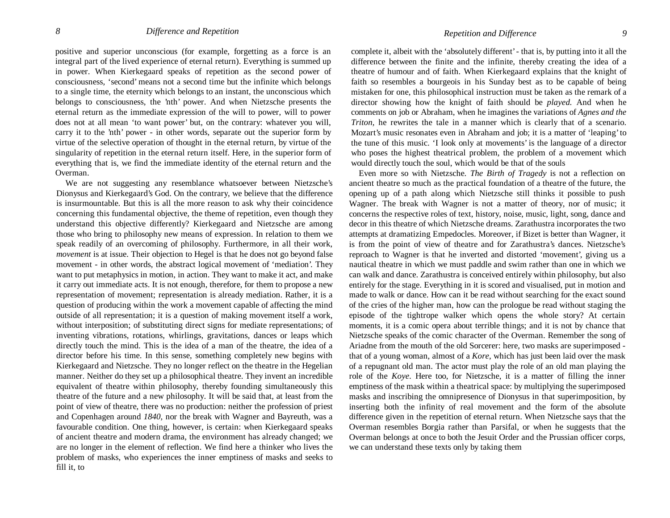positive and superior unconscious (for example, forgetting as a force is an integral part of the lived experience of eternal return). Everything is summed up in power. When Kierkegaard speaks of repetition as the second power of consciousness, 'second' means not a second time but the infinite which belongs to a single time, the eternity which belongs to an instant, the unconscious which belongs to consciousness, the 'nth' power. And when Nietzsche presents the eternal return as the immediate expression of the will to power, will to power does not at all mean 'to want power' but, on the contrary: whatever you will, carry it to the 'nth' power - in other words, separate out the superior form by virtue of the selective operation of thought in the eternal return, by virtue of the singularity of repetition in the eternal return itself. Here, in the superior form of everything that is, we find the immediate identity of the eternal return and the Overman.

We are not suggesting any resemblance whatsoever between Nietzsche's Dionysus and Kierkegaard's God. On the contrary, we believe that the difference is insurmountable. But this is all the more reason to ask why their coincidence concerning this fundamental objective, the theme of repetition, even though they understand this objective differently? Kierkegaard and Nietzsche are among those who bring to philosophy new means of expression. In relation to them we speak readily of an overcoming of philosophy. Furthermore, in all their work, *movement* is at issue. Their objection to Hegel is that he does not go beyond false movement - in other words, the abstract logical movement of 'mediation'. They want to put metaphysics in motion, in action. They want to make it act, and make it carry out immediate acts. It is not enough, therefore, for them to propose a new representation of movement; representation is already mediation. Rather, it is a question of producing within the work a movement capable of affecting the mind outside of all representation; it is a question of making movement itself a work, without interposition; of substituting direct signs for mediate representations; of inventing vibrations, rotations, whirlings, gravitations, dances or leaps which directly touch the mind. This is the idea of a man of the theatre, the idea of a director before his time. In this sense, something completely new begins with Kierkegaard and Nietzsche. They no longer reflect on the theatre in the Hegelian manner. Neither do they set up a philosophical theatre. They invent an incredible equivalent of theatre within philosophy, thereby founding simultaneously this theatre of the future and a new philosophy. It will be said that, at least from the point of view of theatre, there was no production: neither the profession of priest and Copenhagen around *1840,* nor the break with Wagner and Bayreuth, was a favourable condition. One thing, however, is certain: when Kierkegaard speaks of ancient theatre and modern drama, the environment has already changed; we are no longer in the element of reflection. We find here a thinker who lives the problem of masks, who experiences the inner emptiness of masks and seeks to fill it, to

complete it, albeit with the 'absolutely different' - that is, by putting into it all the difference between the finite and the infinite, thereby creating the idea of a theatre of humour and of faith. When Kierkegaard explains that the knight of faith so resembles a bourgeois in his Sunday best as to be capable of being mistaken for one, this philosophical instruction must be taken as the remark of a director showing how the knight of faith should be *played.* And when he comments on job or Abraham, when he imagines the variations of *Agnes and the Triton*, he rewrites the tale in a manner which is clearly that of a scenario. Mozart's music resonates even in Abraham and job; it is a matter of 'leaping' to the tune of this music. 'I look only at movements' is the language of a director who poses the highest theatrical problem, the problem of a movement which would directly touch the soul, which would be that of the souls

Even more so with Nietzsche. *The Birth of Tragedy* is not a reflection on ancient theatre so much as the practical foundation of a theatre of the future, the opening up of a path along which Nietzsche still thinks it possible to push Wagner. The break with Wagner is not a matter of theory, nor of music; it concerns the respective roles of text, history, noise, music, light, song, dance and decor in this theatre of which Nietzsche dreams. Zarathustra incorporates the two attempts at dramatizing Empedocles. Moreover, if Bizet is better than Wagner, it is from the point of view of theatre and for Zarathustra's dances. Nietzsche's reproach to Wagner is that he inverted and distorted 'movement', giving us a nautical theatre in which we must paddle and swim rather than one in which we can walk and dance. Zarathustra is conceived entirely within philosophy, but also entirely for the stage. Everything in it is scored and visualised, put in motion and made to walk or dance. How can it be read without searching for the exact sound of the cries of the higher man, how can the prologue be read without staging the episode of the tightrope walker which opens the whole story? At certain moments, it is a comic opera about terrible things; and it is not by chance that Nietzsche speaks of the comic character of the Overman. Remember the song of Ariadne from the mouth of the old Sorcerer: here, two masks are superimposed that of a young woman, almost of a *Kore,* which has just been laid over the mask of a repugnant old man. The actor must play the role of an old man playing the role of the *Koye.* Here too, for Nietzsche, it is a matter of filling the inner emptiness of the mask within a theatrical space: by multiplying the superimposed masks and inscribing the omnipresence of Dionysus in that superimposition, by inserting both the infinity of real movement and the form of the absolute difference given in the repetition of eternal return. When Nietzsche says that the Overman resembles Borgia rather than Parsifal, or when he suggests that the Overman belongs at once to both the Jesuit Order and the Prussian officer corps, we can understand these texts only by taking them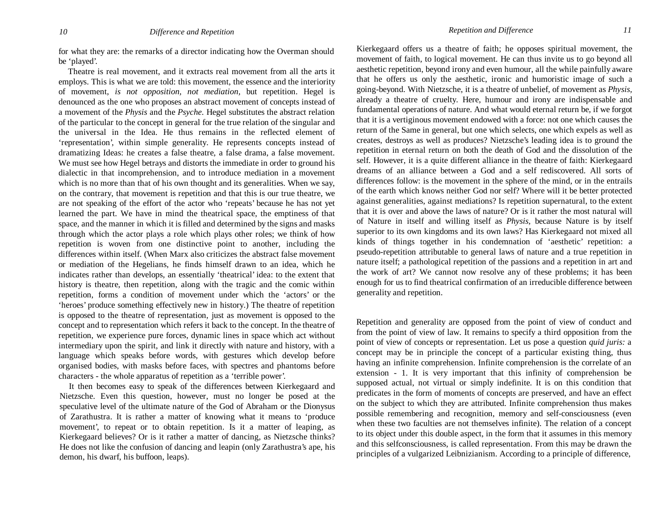for what they are: the remarks of a director indicating how the Overman should be 'played'.

Theatre is real movement, and it extracts real movement from all the arts it employs. This is what we are told: this movement, the essence and the interiority of movement, *is not opposition, not mediation,* but repetition. Hegel is denounced as the one who proposes an abstract movement of concepts instead of a movement of the *Physis* and the *Psyche.* Hegel substitutes the abstract relation of the particular to the concept in general for the true relation of the singular and the universal in the Idea. He thus remains in the reflected element of 'representation', within simple generality. He represents concepts instead of dramatizing Ideas: he creates a false theatre, a false drama, a false movement. We must see how Hegel betrays and distorts the immediate in order to ground his dialectic in that incomprehension, and to introduce mediation in a movement which is no more than that of his own thought and its generalities. When we say, on the contrary, that movement is repetition and that this is our true theatre, we are not speaking of the effort of the actor who 'repeats' because he has not yet learned the part. We have in mind the theatrical space, the emptiness of that space, and the manner in which it is filled and determined by the signs and masks through which the actor plays a role which plays other roles; we think of how repetition is woven from one distinctive point to another, including the differences within itself. (When Marx also criticizes the abstract false movement or mediation of the Hegelians, he finds himself drawn to an idea, which he indicates rather than develops, an essentially 'theatrical' idea: to the extent that history is theatre, then repetition, along with the tragic and the comic within repetition, forms a condition of movement under which the 'actors' or the 'heroes' produce something effectively new in history.) The theatre of repetition is opposed to the theatre of representation, just as movement is opposed to the concept and to representation which refers it back to the concept. In the theatre of repetition, we experience pure forces, dynamic lines in space which act without intermediary upon the spirit, and link it directly with nature and history, with a language which speaks before words, with gestures which develop before organised bodies, with masks before faces, with spectres and phantoms before characters - the whole apparatus of repetition as a 'terrible power'.

It then becomes easy to speak of the differences between Kierkegaard and Nietzsche. Even this question, however, must no longer be posed at the speculative level of the ultimate nature of the God of Abraham or the Dionysus of Zarathustra. It is rather a matter of knowing what it means to 'produce movement', to repeat or to obtain repetition. Is it a matter of leaping, as Kierkegaard believes? Or is it rather a matter of dancing, as Nietzsche thinks? He does not like the confusion of dancing and leapin (only Zarathustra's ape, his demon, his dwarf, his buffoon, leaps).

Kierkegaard offers us a theatre of faith; he opposes spiritual movement, the movement of faith, to logical movement. He can thus invite us to go beyond all aesthetic repetition, beyond irony and even humour, all the while painfully aware that he offers us only the aesthetic, ironic and humoristic image of such a going-beyond. With Nietzsche, it is a theatre of unbelief, of movement as *Physis,*  already a theatre of cruelty. Here, humour and irony are indispensable and fundamental operations of nature. And what would eternal return be, if we forgot that it is a vertiginous movement endowed with a force: not one which causes the return of the Same in general, but one which selects, one which expels as well as creates, destroys as well as produces? Nietzsche's leading idea is to ground the repetition in eternal return on both the death of God and the dissolution of the self. However, it is a quite different alliance in the theatre of faith: Kierkegaard dreams of an alliance between a God and a self rediscovered. All sorts of differences follow: is the movement in the sphere of the mind, or in the entrails of the earth which knows neither God nor self? Where will it be better protected against generalities, against mediations? Is repetition supernatural, to the extent that it is over and above the laws of nature? Or is it rather the most natural will of Nature in itself and willing itself as *Physis,* because Nature is by itself superior to its own kingdoms and its own laws? Has Kierkegaard not mixed all kinds of things together in his condemnation of 'aesthetic' repetition: a pseudo-repetition attributable to general laws of nature and a true repetition in nature itself; a pathological repetition of the passions and a repetition in art and the work of art? We cannot now resolve any of these problems; it has been enough for us to find theatrical confirmation of an irreducible difference between generality and repetition.

Repetition and generality are opposed from the point of view of conduct and from the point of view of law. It remains to specify a third opposition from the point of view of concepts or representation. Let us pose a question *quid juris:* <sup>a</sup> concept may be in principle the concept of a particular existing thing, thus having an infinite comprehension. Infinite comprehension is the correlate of an extension - 1. It is very important that this infinity of comprehension be supposed actual, not virtual or simply indefinite. It is on this condition that predicates in the form of moments of concepts are preserved, and have an effect on the subject to which they are attributed. Infinite comprehension thus makes possible remembering and recognition, memory and self-consciousness (even when these two faculties are not themselves infinite). The relation of a concept to its object under this double aspect, in the form that it assumes in this memory and this selfconsciousness, is called representation. From this may be drawn the principles of a vulgarized Leibnizianism. According to a principle of difference,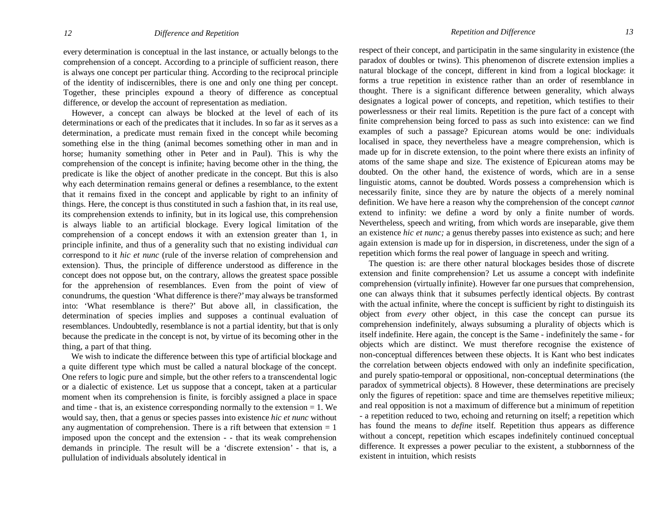every determination is conceptual in the last instance, or actually belongs to the comprehension of a concept. According to a principle of sufficient reason, there is always one concept per particular thing. According to the reciprocal principle of the identity of indiscernibles, there is one and only one thing per concept. Together, these principles expound a theory of difference as conceptual difference, or develop the account of representation as mediation.

However, a concept can always be blocked at the level of each of its determinations or each of the predicates that it includes. In so far as it serves as a determination, a predicate must remain fixed in the concept while becoming something else in the thing (animal becomes something other in man and in horse; humanity something other in Peter and in Paul). This is why the comprehension of the concept is infinite; having become other in the thing, the predicate is like the object of another predicate in the concept. But this is also why each determination remains general or defines a resemblance, to the extent that it remains fixed in the concept and applicable by right to an infinity of things. Here, the concept is thus constituted in such a fashion that, in its real use, its comprehension extends to infinity, but in its logical use, this comprehension is always liable to an artificial blockage. Every logical limitation of the comprehension of a concept endows it with an extension greater than 1, in principle infinite, and thus of a generality such that no existing individual *can*  correspond to it *hic et nunc* (rule of the inverse relation of comprehension and extension). Thus, the principle of difference understood as difference in the concept does not oppose but, on the contrary, allows the greatest space possible for the apprehension of resemblances. Even from the point of view of conundrums, the question 'What difference is there?' may always be transformed into: 'What resemblance is there?' But above all, in classification, the determination of species implies and supposes a continual evaluation of resemblances. Undoubtedly, resemblance is not a partial identity, but that is only because the predicate in the concept is not, by virtue of its becoming other in the thing, a part of that thing.

We wish to indicate the difference between this type of artificial blockage and a quite different type which must be called a natural blockage of the concept. One refers to logic pure and simple, but the other refers to a transcendental logic or a dialectic of existence. Let us suppose that a concept, taken at a particular moment when its comprehension is finite, is forcibly assigned a place in space and time - that is, an existence corresponding normally to the extension  $= 1$ . We would say, then, that a genus or species passes into existence *hic et nunc* without any augmentation of comprehension. There is a rift between that extension  $= 1$ imposed upon the concept and the extension - - that its weak comprehension demands in principle. The result will be a 'discrete extension' - that is, a pullulation of individuals absolutely identical in

respect of their concept, and participatin in the same singularity in existence (the paradox of doubles or twins). This phenomenon of discrete extension implies a natural blockage of the concept, different in kind from a logical blockage: it forms a true repetition in existence rather than an order of resemblance in thought. There is a significant difference between generality, which always designates a logical power of concepts, and repetition, which testifies to their powerlessness or their real limits. Repetition is the pure fact of a concept with finite comprehension being forced to pass as such into existence: can we find examples of such a passage? Epicurean atoms would be one: individuals localised in space, they nevertheless have a meagre comprehension, which is made up for in discrete extension, to the point where there exists an infinity of atoms of the same shape and size. The existence of Epicurean atoms may be doubted. On the other hand, the existence of words, which are in a sense linguistic atoms, cannot be doubted. Words possess a comprehension which is necessarily finite, since they are by nature the objects of a merely nominal definition. We have here a reason why the comprehension of the concept *cannot*  extend to infinity: we define a word by only a finite number of words. Nevertheless, speech and writing, from which words are inseparable, give them an existence *hic et nunc;* a genus thereby passes into existence as such; and here again extension is made up for in dispersion, in discreteness, under the sign of a repetition which forms the real power of language in speech and writing.

The question is: are there other natural blockages besides those of discrete extension and finite comprehension? Let us assume a concept with indefinite comprehension (virtually infinite). However far one pursues that comprehension, one can always think that it subsumes perfectly identical objects. By contrast with the actual infinite, where the concept is sufficient by right to distinguish its object from *every* other object, in this case the concept can pursue its comprehension indefinitely, always subsuming a plurality of objects which is itself indefinite. Here again, the concept is the Same - indefinitely the same - for objects which are distinct. We must therefore recognise the existence of non-conceptual differences between these objects. It is Kant who best indicates the correlation between objects endowed with only an indefinite specification, and purely spatio-temporal or oppositional, non-conceptual determinations (the paradox of symmetrical objects). 8 However, these determinations are precisely only the figures of repetition: space and time are themselves repetitive milieux; and real opposition is not a maximum of difference but a minimum of repetition - a repetition reduced to two, echoing and returning on itself; a repetition which has found the means to *define* itself. Repetition thus appears as difference without a concept, repetition which escapes indefinitely continued conceptual difference. It expresses a power peculiar to the existent, a stubbornness of the existent in intuition, which resists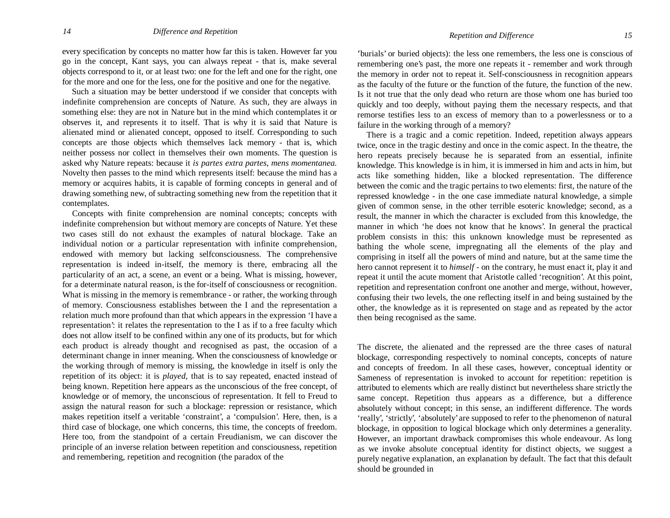every specification by concepts no matter how far this is taken. However far you go in the concept, Kant says, you can always repeat - that is, make several objects correspond to it, or at least two: one for the left and one for the right, one for the more and one for the less, one for the positive and one for the negative.

Such a situation may be better understood if we consider that concepts with indefinite comprehension are concepts of Nature. As such, they are always in something else: they are not in Nature but in the mind which contemplates it or observes it, and represents it to itself. That is why it is said that Nature is alienated mind or alienated concept, opposed to itself. Corresponding to such concepts are those objects which themselves lack memory - that is, which neither possess nor collect in themselves their own moments. The question is asked why Nature repeats: because it *is partes extra partes, mens momentanea.*  Novelty then passes to the mind which represents itself: because the mind has a memory or acquires habits, it is capable of forming concepts in general and of drawing something new, of subtracting something new from the repetition that it contemplates.

Concepts with finite comprehension are nominal concepts; concepts with indefinite comprehension but without memory are concepts of Nature. Yet these two cases still do not exhaust the examples of natural blockage. Take an individual notion or a particular representation with infinite comprehension, endowed with memory but lacking selfconsciousness. The comprehensive representation is indeed in-itself, the memory is there, embracing all the particularity of an act, a scene, an event or a being. What is missing, however, for a determinate natural reason, is the for-itself of consciousness or recognition. What is missing in the memory is remembrance - or rather, the working through of memory. Consciousness establishes between the I and the representation a relation much more profound than that which appears in the expression 'I have a representation': it relates the representation to the I as if to a free faculty which does not allow itself to be confined within any one of its products, but for which each product is already thought and recognised as past, the occasion of a determinant change in inner meaning. When the consciousness of knowledge or the working through of memory is missing, the knowledge in itself is only the repetition of its object: it is *played,* that is to say repeated, enacted instead of being known. Repetition here appears as the unconscious of the free concept, of knowledge or of memory, the unconscious of representation. It fell to Freud to assign the natural reason for such a blockage: repression or resistance, which makes repetition itself a veritable 'constraint', a 'compulsion'. Here, then, is a third case of blockage, one which concerns, this time, the concepts of freedom. Here too, from the standpoint of a certain Freudianism, we can discover the principle of an inverse relation between repetition and consciousness, repetition and remembering, repetition and recognition (the paradox of the

'burials' or buried objects): the less one remembers, the less one is conscious of remembering one's past, the more one repeats it - remember and work through the memory in order not to repeat it. Self-consciousness in recognition appears as the faculty of the future or the function of the future, the function of the new. Is it not true that the only dead who return are those whom one has buried too quickly and too deeply, without paying them the necessary respects, and that remorse testifies less to an excess of memory than to a powerlessness or to a failure in the working through of a memory?

There is a tragic and a comic repetition. Indeed, repetition always appears twice, once in the tragic destiny and once in the comic aspect. In the theatre, the hero repeats precisely because he is separated from an essential, infinite knowledge. This knowledge is in him, it is immersed in him and acts in him, but acts like something hidden, like a blocked representation. The difference between the comic and the tragic pertains to two elements: first, the nature of the repressed knowledge - in the one case immediate natural knowledge, a simple given of common sense, in the other terrible esoteric knowledge; second, as a result, the manner in which the character is excluded from this knowledge, the manner in which 'he does not know that he knows'. In general the practical problem consists in this: this unknown knowledge must be represented as bathing the whole scene, impregnating all the elements of the play and comprising in itself all the powers of mind and nature, but at the same time the hero cannot represent it to *himself* - on the contrary, he must enact it, play it and repeat it until the acute moment that Aristotle called 'recognition'. At this point, repetition and representation confront one another and merge, without, however, confusing their two levels, the one reflecting itself in and being sustained by the other, the knowledge as it is represented on stage and as repeated by the actor then being recognised as the same.

The discrete, the alienated and the repressed are the three cases of natural blockage, corresponding respectively to nominal concepts, concepts of nature and concepts of freedom. In all these cases, however, conceptual identity or Sameness of representation is invoked to account for repetition: repetition is attributed to elements which are really distinct but nevertheless share strictly the same concept. Repetition thus appears as a difference, but a difference absolutely without concept; in this sense, an indifferent difference. The words 'really', 'strictly', 'absolutely' are supposed to refer to the phenomenon of natural blockage, in opposition to logical blockage which only determines a generality. However, an important drawback compromises this whole endeavour. As long as we invoke absolute conceptual identity for distinct objects, we suggest a purely negative explanation, an explanation by default. The fact that this default should be grounded in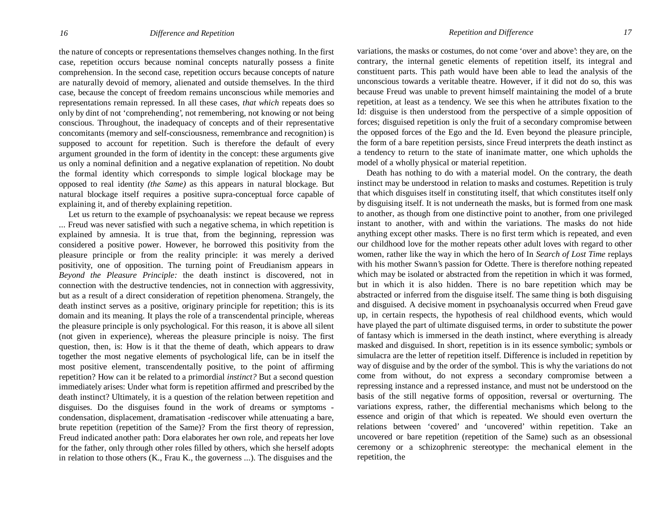the nature of concepts or representations themselves changes nothing. In the first case, repetition occurs because nominal concepts naturally possess a finite comprehension. In the second case, repetition occurs because concepts of nature are naturally devoid of memory, alienated and outside themselves. In the third case, because the concept of freedom remains unconscious while memories and representations remain repressed. In all these cases, *that which* repeats does so only by dint of not 'comprehending', not remembering, not knowing or not being conscious. Throughout, the inadequacy of concepts and of their representative concomitants (memory and self-consciousness, remembrance and recognition) is supposed to account for repetition. Such is therefore the default of every argument grounded in the form of identity in the concept: these arguments give us only a nominal definition and a negative explanation of repetition. No doubt the formal identity which corresponds to simple logical blockage may be opposed to real identity *(the Same)* as this appears in natural blockage. But natural blockage itself requires a positive supra-conceptual force capable of explaining it, and of thereby explaining repetition.

Let us return to the example of psychoanalysis: we repeat because we repress ... Freud was never satisfied with such a negative schema, in which repetition is explained by amnesia. It is true that, from the beginning, repression was considered a positive power. However, he borrowed this positivity from the pleasure principle or from the reality principle: it was merely a derived positivity, one of opposition. The turning point of Freudianism appears in *Beyond the Pleasure Principle:* the death instinct is discovered, not in connection with the destructive tendencies, not in connection with aggressivity, but as a result of a direct consideration of repetition phenomena. Strangely, the death instinct serves as a positive, originary principle for repetition; this is its domain and its meaning. It plays the role of a transcendental principle, whereas the pleasure principle is only psychological. For this reason, it is above all silent (not given in experience), whereas the pleasure principle is noisy. The first question, then, is: How is it that the theme of death, which appears to draw together the most negative elements of psychological life, can be in itself the most positive element, transcendentally positive, to the point of affirming repetition? How can it be related to a primordial *instinct?* But a second question immediately arises: Under what form is repetition affirmed and prescribed by the death instinct? Ultimately, it is a question of the relation between repetition and disguises. Do the disguises found in the work of dreams or symptoms condensation, displacement, dramatisation -rediscover while attenuating a bare, brute repetition (repetition of the Same)? From the first theory of repression, Freud indicated another path: Dora elaborates her own role, and repeats her love for the father, only through other roles filled by others, which she herself adopts in relation to those others (K., Frau K., the governess ...). The disguises and the

variations, the masks or costumes, do not come 'over and above': they are, on the contrary, the internal genetic elements of repetition itself, its integral and constituent parts. This path would have been able to lead the analysis of the unconscious towards a veritable theatre. However, if it did not do so, this was because Freud was unable to prevent himself maintaining the model of a brute repetition, at least as a tendency. We see this when he attributes fixation to the Id: disguise is then understood from the perspective of a simple opposition of forces; disguised repetition is only the fruit of a secondary compromise between the opposed forces of the Ego and the Id. Even beyond the pleasure principle, the form of a bare repetition persists, since Freud interprets the death instinct as a tendency to return to the state of inanimate matter, one which upholds the model of a wholly physical or material repetition.

Death has nothing to do with a material model. On the contrary, the death instinct may be understood in relation to masks and costumes. Repetition is truly that which disguises itself in constituting itself, that which constitutes itself only by disguising itself. It is not underneath the masks, but is formed from one mask to another, as though from one distinctive point to another, from one privileged instant to another, with and within the variations. The masks do not hide anything except other masks. There is no first term which is repeated, and even our childhood love for the mother repeats other adult loves with regard to other women, rather like the way in which the hero of In *Search of Lost Time* replays with his mother Swann's passion for Odette. There is therefore nothing repeated which may be isolated or abstracted from the repetition in which it was formed, but in which it is also hidden. There is no bare repetition which may be abstracted or inferred from the disguise itself. The same thing is both disguising and disguised. A decisive moment in psychoanalysis occurred when Freud gave up, in certain respects, the hypothesis of real childhood events, which would have played the part of ultimate disguised terms, in order to substitute the power of fantasy which is immersed in the death instinct, where everything is already masked and disguised. In short, repetition is in its essence symbolic; symbols or simulacra are the letter of repetition itself. Difference is included in repetition by way of disguise and by the order of the symbol. This is why the variations do not come from without, do not express a secondary compromise between a repressing instance and a repressed instance, and must not be understood on the basis of the still negative forms of opposition, reversal or overturning. The variations express, rather, the differential mechanisms which belong to the essence and origin of that which is repeated. We should even overturn the relations between 'covered' and 'uncovered' within repetition. Take an uncovered or bare repetition (repetition of the Same) such as an obsessional ceremony or a schizophrenic stereotype: the mechanical element in the repetition, the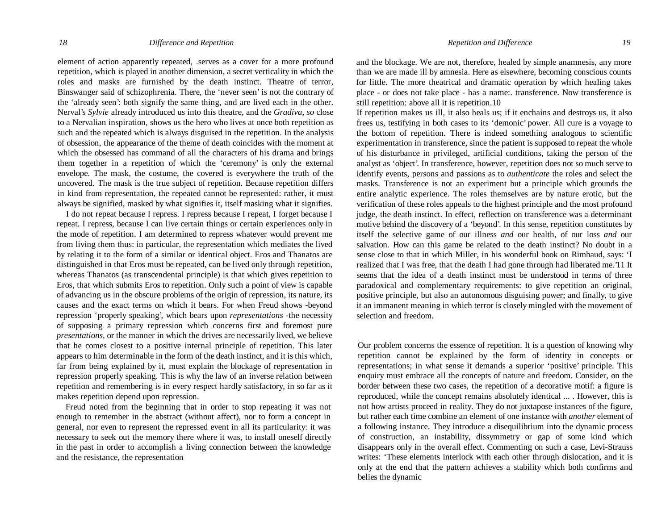element of action apparently repeated, .serves as a cover for a more profound repetition, which is played in another dimension, a secret verticality in which the roles and masks are furnished by the death instinct. Theatre of terror, Binswanger said of schizophrenia. There, the 'never seen' is not the contrary of the 'already seen': both signify the same thing, and are lived each in the other. Nerval's *Sylvie* already introduced us into this theatre, and the *Gradiva, so* close to a Nervalian inspiration, shows us the hero who lives at once both repetition as such and the repeated which is always disguised in the repetition. In the analysis of obsession, the appearance of the theme of death coincides with the moment at which the obsessed has command of all the characters of his drama and brings them together in a repetition of which the 'ceremony' is only the external envelope. The mask, the costume, the covered is everywhere the truth of the uncovered. The mask is the true subject of repetition. Because repetition differs in kind from representation, the repeated cannot be represented: rather, it must always be signified, masked by what signifies it, itself masking what it signifies.

I do not repeat because I repress. I repress because I repeat, I forget because I repeat. I repress, because I can live certain things or certain experiences only in the mode of repetition. I am determined to repress whatever would prevent me from living them thus: in particular, the representation which mediates the lived by relating it to the form of a similar or identical object. Eros and Thanatos are distinguished in that Eros must be repeated, can be lived only through repetition, whereas Thanatos (as transcendental principle) is that which gives repetition to Eros, that which submits Eros to repetition. Only such a point of view is capable of advancing us in the obscure problems of the origin of repression, its nature, its causes and the exact terms on which it bears. For when Freud shows -beyond repression 'properly speaking', which bears upon *representations -*the necessity of supposing a primary repression which concerns first and foremost pure *presentations,* or the manner in which the drives are necessarily lived, we believe that he comes closest to a positive internal principle of repetition. This later appears to him determinable in the form of the death instinct, and it is this which, far from being explained by it, must explain the blockage of representation in repression properly speaking. This is why the law of an inverse relation between repetition and remembering is in every respect hardly satisfactory, in so far as it makes repetition depend upon repression.

Freud noted from the beginning that in order to stop repeating it was not enough to remember in the abstract (without affect), nor to form a concept in general, nor even to represent the repressed event in all its particularity: it was necessary to seek out the memory there where it was, to install oneself directly in the past in order to accomplish a living connection between the knowledge and the resistance, the representation

and the blockage. We are not, therefore, healed by simple anamnesis, any more than we are made ill by amnesia. Here as elsewhere, becoming conscious counts for little. The more theatrical and dramatic operation by which healing takes place - or does not take place - has a name:. transference. Now transference is still repetition: above all it is repetition.10

If repetition makes us ill, it also heals us; if it enchains and destroys us, it also frees us, testifying in both cases to its 'demonic' power. All cure is a voyage to the bottom of repetition. There is indeed something analogous to scientific experimentation in transference, since the patient is supposed to repeat the whole of his disturbance in privileged, artificial conditions, taking the person of the analyst as 'object'. In transference, however, repetition does not so much serve to identify events, persons and passions as to *authenticate* the roles and select the masks. Transference is not an experiment but a principle which grounds the entire analytic experience. The roles themselves are by nature erotic, but the verification of these roles appeals to the highest principle and the most profound judge, the death instinct. In effect, reflection on transference was a determinant motive behind the discovery of a 'beyond'. In this sense, repetition constitutes by itself the selective game of our illness *and* our health, of our loss *and* our salvation. How can this game be related to the death instinct? No doubt in a sense close to that in which Miller, in his wonderful book on Rimbaud, says: 'I realized that I was free, that the death I had gone through had liberated me.'11 It seems that the idea of a death instinct must be understood in terms of three paradoxical and complementary requirements: to give repetition an original, positive principle, but also an autonomous disguising power; and finally, to give it an immanent meaning in which terror is closely mingled with the movement of selection and freedom.

Our problem concerns the essence of repetition. It is a question of knowing why repetition cannot be explained by the form of identity in concepts or representations; in what sense it demands a superior 'positive' principle. This enquiry must embrace all the concepts of nature and freedom. Consider, on the border between these two cases, the repetition of a decorative motif: a figure is reproduced, while the concept remains absolutely identical ... . However, this is not how artists proceed in reality. They do not juxtapose instances of the figure, but rather each time combine an element of one instance with *another* element of a following instance. They introduce a disequilibrium into the dynamic process of construction, an instability, dissymmetry or gap of some kind which disappears only in the overall effect. Commenting on such a case, Levi-Strauss writes: 'These elements interlock with each other through dislocation, and it is only at the end that the pattern achieves a stability which both confirms and belies the dynamic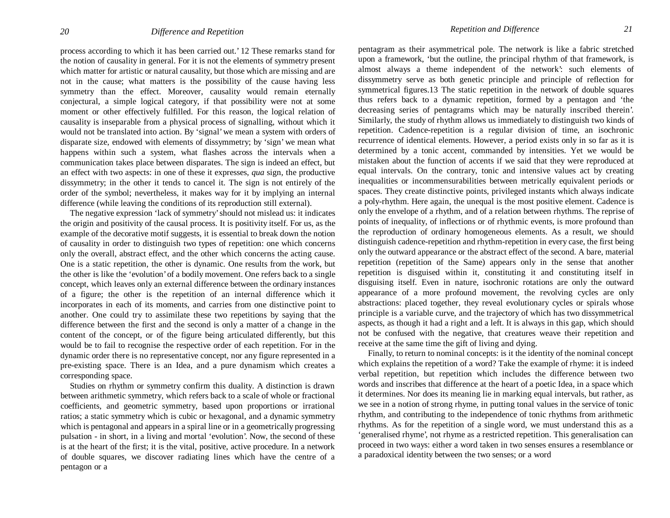process according to which it has been carried out.' 12 These remarks stand for the notion of causality in general. For it is not the elements of symmetry present which matter for artistic or natural causality, but those which are missing and are not in the cause; what matters is the possibility of the cause having less symmetry than the effect. Moreover, causality would remain eternally conjectural, a simple logical category, if that possibility were not at some moment or other effectively fulfilled. For this reason, the logical relation of causality is inseparable from a physical process of signalling, without which it would not be translated into action. By 'signal' we mean a system with orders of disparate size, endowed with elements of dissymmetry; by 'sign' we mean what happens within such a system, what flashes across the intervals when a communication takes place between disparates. The sign is indeed an effect, but an effect with two aspects: in one of these it expresses, *qua* sign, the productive dissymmetry; in the other it tends to cancel it. The sign is not entirely of the order of the symbol; nevertheless, it makes way for it by implying an internal difference (while leaving the conditions of its reproduction still external).

The negative expression 'lack of symmetry' should not mislead us: it indicates the origin and positivity of the causal process. It is positivity itself. For us, as the example of the decorative motif suggests, it is essential to break down the notion of causality in order to distinguish two types of repetition: one which concerns only the overall, abstract effect, and the other which concerns the acting cause. One is a static repetition, the other is dynamic. One results from the work, but the other is like the 'evolution' of a bodily movement. One refers back to a single concept, which leaves only an external difference between the ordinary instances of a figure; the other is the repetition of an internal difference which it incorporates in each of its moments, and carries from one distinctive point to another. One could try to assimilate these two repetitions by saying that the difference between the first and the second is only a matter of a change in the content of the concept, or of the figure being articulated differently, but this would be to fail to recognise the respective order of each repetition. For in the dynamic order there is no representative concept, nor any figure represented in a pre-existing space. There is an Idea, and a pure dynamism which creates a corresponding space.

Studies on rhythm or symmetry confirm this duality. A distinction is drawn between arithmetic symmetry, which refers back to a scale of whole or fractional coefficients, and geometric symmetry, based upon proportions or irrational ratios; a static symmetry which is cubic or hexagonal, and a dynamic symmetry which is pentagonal and appears in a spiral line or in a geometrically progressing pulsation - in short, in a living and mortal 'evolution'. Now, the second of these is at the heart of the first; it is the vital, positive, active procedure. In a network of double squares, we discover radiating lines which have the centre of a pentagon or a

pentagram as their asymmetrical pole. The network is like a fabric stretched upon a framework, 'but the outline, the principal rhythm of that framework, is almost always a theme independent of the network': such elements of dissymmetry serve as both genetic principle and principle of reflection for symmetrical figures.13 The static repetition in the network of double squares thus refers back to a dynamic repetition, formed by a pentagon and 'the decreasing series of pentagrams which may be naturally inscribed therein'. Similarly, the study of rhythm allows us immediately to distinguish two kinds of repetition. Cadence-repetition is a regular division of time, an isochronic recurrence of identical elements. However, a period exists only in so far as it is determined by a tonic accent, commanded by intensities. Yet we would be mistaken about the function of accents if we said that they were reproduced at equal intervals. On the contrary, tonic and intensive values act by creating inequalities or incommensurabilities between metrically equivalent periods or spaces. They create distinctive points, privileged instants which always indicate a poly-rhythm. Here again, the unequal is the most positive element. Cadence is only the envelope of a rhythm, and of a relation between rhythms. The reprise of points of inequality, of inflections or of rhythmic events, is more profound than the reproduction of ordinary homogeneous elements. As a result, we should distinguish cadence-repetition and rhythm-repetition in every case, the first being only the outward appearance or the abstract effect of the second. A bare, material repetition (repetition of the Same) appears only in the sense that another repetition is disguised within it, constituting it and constituting itself in disguising itself. Even in nature, isochronic rotations are only the outward appearance of a more profound movement, the revolving cycles are only abstractions: placed together, they reveal evolutionary cycles or spirals whose principle is a variable curve, and the trajectory of which has two dissymmetrical aspects, as though it had a right and a left. It is always in this gap, which should not be confused with the negative, that creatures weave their repetition and receive at the same time the gift of living and dying.

Finally, to return to nominal concepts: is it the identity of the nominal concept which explains the repetition of a word? Take the example of rhyme: it is indeed verbal repetition, but repetition which includes the difference between two words and inscribes that difference at the heart of a poetic Idea, in a space which it determines. Nor does its meaning lie in marking equal intervals, but rather, as we see in a notion of strong rhyme, in putting tonal values in the service of tonic rhythm, and contributing to the independence of tonic rhythms from arithmetic rhythms. As for the repetition of a single word, we must understand this as a 'generalised rhyme', not rhyme as a restricted repetition. This generalisation can proceed in two ways: either a word taken in two senses ensures a resemblance or a paradoxical identity between the two senses; or a word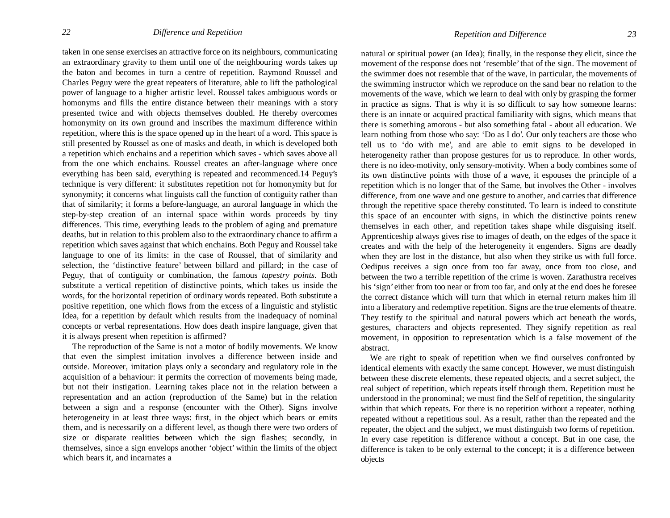taken in one sense exercises an attractive force on its neighbours, communicating an extraordinary gravity to them until one of the neighbouring words takes up the baton and becomes in turn a centre of repetition. Raymond Roussel and Charles Peguy were the great repeaters of literature, able to lift the pathological power of language to a higher artistic level. Roussel takes ambiguous words or homonyms and fills the entire distance between their meanings with a story presented twice and with objects themselves doubled. He thereby overcomes homonymity on its own ground and inscribes the maximum difference within repetition, where this is the space opened up in the heart of a word. This space is still presented by Roussel as one of masks and death, in which is developed both a repetition which enchains and a repetition which saves - which saves above all from the one which enchains. Roussel creates an after-language where once everything has been said, everything is repeated and recommenced.14 Peguy's technique is very different: it substitutes repetition not for homonymity but for synonymity; it concerns what linguists call the function of contiguity rather than that of similarity; it forms a before-language, an auroral language in which the step-by-step creation of an internal space within words proceeds by tiny differences. This time, everything leads to the problem of aging and premature deaths, but in relation to this problem also to the extraordinary chance to affirm a repetition which saves against that which enchains. Both Peguy and Roussel take language to one of its limits: in the case of Roussel, that of similarity and selection, the 'distinctive feature' between billard and pillard; in the case of Peguy, that of contiguity or combination, the famous *tapestry points.* Both substitute a vertical repetition of distinctive points, which takes us inside the words, for the horizontal repetition of ordinary words repeated. Both substitute a positive repetition, one which flows from the excess of a linguistic and stylistic Idea, for a repetition by default which results from the inadequacy of nominal concepts or verbal representations. How does death inspire language, given that it is always present when repetition is affirmed?

The reproduction of the Same is not a motor of bodily movements. We know that even the simplest imitation involves a difference between inside and outside. Moreover, imitation plays only a secondary and regulatory role in the acquisition of a behaviour: it permits the correction of movements being made, but not their instigation. Learning takes place not in the relation between a representation and an action (reproduction of the Same) but in the relation between a sign and a response (encounter with the Other). Signs involve heterogeneity in at least three ways: first, in the object which bears or emits them, and is necessarily on a different level, as though there were two orders of size or disparate realities between which the sign flashes; secondly, in themselves, since a sign envelops another 'object' within the limits of the object which bears it, and incarnates a

natural or spiritual power (an Idea); finally, in the response they elicit, since the movement of the response does not 'resemble' that of the sign. The movement of the swimmer does not resemble that of the wave, in particular, the movements of the swimming instructor which we reproduce on the sand bear no relation to the movements of the wave, which we learn to deal with only by grasping the former in practice as signs. That is why it is so difficult to say how someone learns: there is an innate or acquired practical familiarity with signs, which means that there is something amorous - but also something fatal - about all education. We learn nothing from those who say: 'Do as I do'. Our only teachers are those who tell us to 'do with me', and are able to emit signs to be developed in heterogeneity rather than propose gestures for us to reproduce. In other words, there is no ideo-motivity, only sensory-motivity. When a body combines some of its own distinctive points with those of a wave, it espouses the principle of a repetition which is no longer that of the Same, but involves the Other - involves difference, from one wave and one gesture to another, and carries that difference through the repetitive space thereby constituted. To learn is indeed to constitute this space of an encounter with signs, in which the distinctive points renew themselves in each other, and repetition takes shape while disguising itself. Apprenticeship always gives rise to images of death, on the edges of the space it creates and with the help of the heterogeneity it engenders. Signs are deadly when they are lost in the distance, but also when they strike us with full force. Oedipus receives a sign once from too far away, once from too close, and between the two a terrible repetition of the crime is woven. Zarathustra receives his 'sign' either from too near or from too far, and only at the end does he foresee the correct distance which will turn that which in eternal return makes him ill into a liberatory and redemptive repetition. Signs are the true elements of theatre. They testify to the spiritual and natural powers which act beneath the words, gestures, characters and objects represented. They signify repetition as real movement, in opposition to representation which is a false movement of the abstract.

We are right to speak of repetition when we find ourselves confronted by identical elements with exactly the same concept. However, we must distinguish between these discrete elements, these repeated objects, and a secret subject, the real subject of repetition, which repeats itself through them. Repetition must be understood in the pronominal; we must find the Self of repetition, the singularity within that which repeats. For there is no repetition without a repeater, nothing repeated without a repetitious soul. As a result, rather than the repeated and the repeater, the object and the subject, we must distinguish two forms of repetition. In every case repetition is difference without a concept. But in one case, the difference is taken to be only external to the concept; it is a difference between objects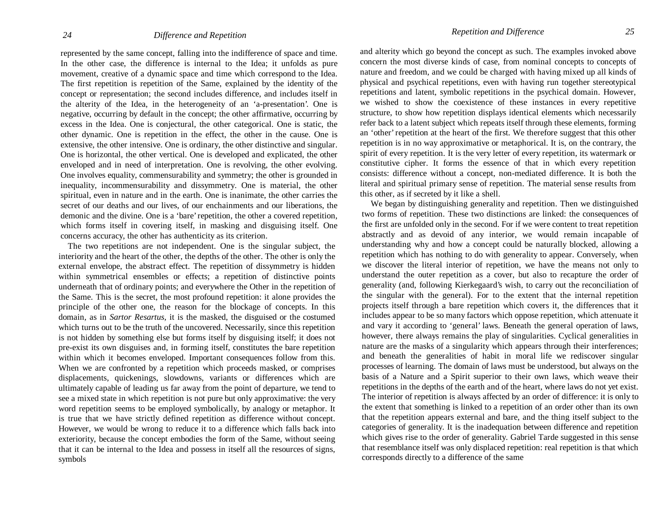#### *24 Difference and Repetition*

*Repetition and Difference 25* 

represented by the same concept, falling into the indifference of space and time. In the other case, the difference is internal to the Idea; it unfolds as pure movement, creative of a dynamic space and time which correspond to the Idea. The first repetition is repetition of the Same, explained by the identity of the concept or representation; the second includes difference, and includes itself in the alterity of the Idea, in the heterogeneity of an 'a-presentation'. One is negative, occurring by default in the concept; the other affirmative, occurring by excess in the Idea. One is conjectural, the other categorical. One is static, the other dynamic. One is repetition in the effect, the other in the cause. One is extensive, the other intensive. One is ordinary, the other distinctive and singular. One is horizontal, the other vertical. One is developed and explicated, the other enveloped and in need of interpretation. One is revolving, the other evolving. One involves equality, commensurability and symmetry; the other is grounded in inequality, incommensurability and dissymmetry. One is material, the other spiritual, even in nature and in the earth. One is inanimate, the other carries the secret of our deaths and our lives, of our enchainments and our liberations, the demonic and the divine. One is a 'bare' repetition, the other a covered repetition, which forms itself in covering itself, in masking and disguising itself. One concerns accuracy, the other has authenticity as its criterion.

The two repetitions are not independent. One is the singular subject, the interiority and the heart of the other, the depths of the other. The other is only the external envelope, the abstract effect. The repetition of dissymmetry is hidden within symmetrical ensembles or effects; a repetition of distinctive points underneath that of ordinary points; and everywhere the Other in the repetition of the Same. This is the secret, the most profound repetition: it alone provides the principle of the other one, the reason for the blockage of concepts. In this domain, as in *Sartor Resartus,* it is the masked, the disguised or the costumed which turns out to be the truth of the uncovered. Necessarily, since this repetition is not hidden by something else but forms itself by disguising itself; it does not pre-exist its own disguises and, in forming itself, constitutes the bare repetition within which it becomes enveloped. Important consequences follow from this. When we are confronted by a repetition which proceeds masked, or comprises displacements, quickenings, slowdowns, variants or differences which are ultimately capable of leading us far away from the point of departure, we tend to see a mixed state in which repetition is not pure but only approximative: the very word repetition seems to be employed symbolically, by analogy or metaphor. It is true that we have strictly defined repetition as difference without concept. However, we would be wrong to reduce it to a difference which falls back into exteriority, because the concept embodies the form of the Same, without seeing that it can be internal to the Idea and possess in itself all the resources of signs, symbols

and alterity which go beyond the concept as such. The examples invoked above concern the most diverse kinds of case, from nominal concepts to concepts of nature and freedom, and we could be charged with having mixed up all kinds of physical and psychical repetitions, even with having run together stereotypical repetitions and latent, symbolic repetitions in the psychical domain. However, we wished to show the coexistence of these instances in every repetitive structure, to show how repetition displays identical elements which necessarily refer back to a latent subject which repeats itself through these elements, forming an 'other' repetition at the heart of the first. We therefore suggest that this other repetition is in no way approximative or metaphorical. It is, on the contrary, the spirit of every repetition. It is the very letter of every repetition, its watermark or constitutive cipher. It forms the essence of that in which every repetition consists: difference without a concept, non-mediated difference. It is both the literal and spiritual primary sense of repetition. The material sense results from this other, as if secreted by it like a shell.

We began by distinguishing generality and repetition. Then we distinguished two forms of repetition. These two distinctions are linked: the consequences of the first are unfolded only in the second. For if we were content to treat repetition abstractly and as devoid of any interior, we would remain incapable of understanding why and how a concept could be naturally blocked, allowing a repetition which has nothing to do with generality to appear. Conversely, when we discover the literal interior of repetition, we have the means not only to understand the outer repetition as a cover, but also to recapture the order of generality (and, following Kierkegaard's wish, to carry out the reconciliation of the singular with the general). For to the extent that the internal repetition projects itself through a bare repetition which covers it, the differences that it includes appear to be so many factors which oppose repetition, which attenuate it and vary it according to 'general' laws. Beneath the general operation of laws, however, there always remains the play of singularities. Cyclical generalities in nature are the masks of a singularity which appears through their interferences; and beneath the generalities of habit in moral life we rediscover singular processes of learning. The domain of laws must be understood, but always on the basis of a Nature and a Spirit superior to their own laws, which weave their repetitions in the depths of the earth and of the heart, where laws do not yet exist. The interior of repetition is always affected by an order of difference: it is only to the extent that something is linked to a repetition of an order other than its own that the repetition appears external and bare, and the thing itself subject to the categories of generality. It is the inadequation between difference and repetition which gives rise to the order of generality. Gabriel Tarde suggested in this sense that resemblance itself was only displaced repetition: real repetition is that which corresponds directly to a difference of the same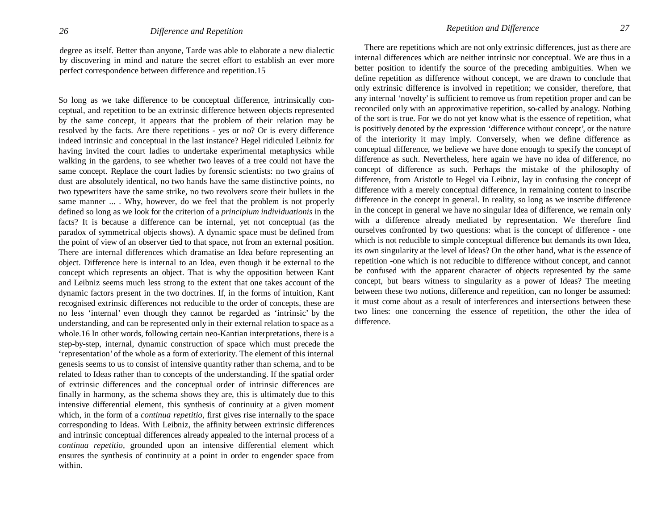degree as itself. Better than anyone, Tarde was able to elaborate a new dialectic by discovering in mind and nature the secret effort to establish an ever more perfect correspondence between difference and repetition.15

So long as we take difference to be conceptual difference, intrinsically conceptual, and repetition to be an extrinsic difference between objects represented by the same concept, it appears that the problem of their relation may be resolved by the facts. Are there repetitions - yes or no? Or is every difference indeed intrinsic and conceptual in the last instance? Hegel ridiculed Leibniz for having invited the court ladies to undertake experimental metaphysics while walking in the gardens, to see whether two leaves of a tree could not have the same concept. Replace the court ladies by forensic scientists: no two grains of dust are absolutely identical, no two hands have the same distinctive points, no two typewriters have the same strike, no two revolvers score their bullets in the same manner ... . Why, however, do we feel that the problem is not properly defined so long as we look for the criterion of a *principium individuationis* in the facts? It is because a difference can be internal, yet not conceptual (as the paradox of symmetrical objects shows). A dynamic space must be defined from the point of view of an observer tied to that space, not from an external position. There are internal differences which dramatise an Idea before representing an object. Difference here is internal to an Idea, even though it be external to the concept which represents an object. That is why the opposition between Kant and Leibniz seems much less strong to the extent that one takes account of the dynamic factors present in the two doctrines. If, in the forms of intuition, Kant recognised extrinsic differences not reducible to the order of concepts, these are no less 'internal' even though they cannot be regarded as 'intrinsic' by the understanding, and can be represented only in their external relation to space as a whole.16 In other words, following certain neo-Kantian interpretations, there is a step-by-step, internal, dynamic construction of space which must precede the 'representation' of the whole as a form of exteriority. The element of this internal genesis seems to us to consist of intensive quantity rather than schema, and to be related to Ideas rather than to concepts of the understanding. If the spatial order of extrinsic differences and the conceptual order of intrinsic differences are finally in harmony, as the schema shows they are, this is ultimately due to this intensive differential element, this synthesis of continuity at a given moment which, in the form of a *continua repetitio,* first gives rise internally to the space corresponding to Ideas. With Leibniz, the affinity between extrinsic differences and intrinsic conceptual differences already appealed to the internal process of a *continua repetitio,* grounded upon an intensive differential element which ensures the synthesis of continuity at a point in order to engender space from within.

There are repetitions which are not only extrinsic differences, just as there are internal differences which are neither intrinsic nor conceptual. We are thus in a better position to identify the source of the preceding ambiguities. When we define repetition as difference without concept, we are drawn to conclude that only extrinsic difference is involved in repetition; we consider, therefore, that any internal 'novelty' is sufficient to remove us from repetition proper and can be reconciled only with an approximative repetition, so-called by analogy. Nothing of the sort is true. For we do not yet know what is the essence of repetition, what is positively denoted by the expression 'difference without concept', or the nature of the interiority it may imply. Conversely, when we define difference as conceptual difference, we believe we have done enough to specify the concept of difference as such. Nevertheless, here again we have no idea of difference, no concept of difference as such. Perhaps the mistake of the philosophy of difference, from Aristotle to Hegel via Leibniz, lay in confusing the concept of difference with a merely conceptual difference, in remaining content to inscribe difference in the concept in general. In reality, so long as we inscribe difference in the concept in general we have no singular Idea of difference, we remain only with a difference already mediated by representation. We therefore find ourselves confronted by two questions: what is the concept of difference - one which is not reducible to simple conceptual difference but demands its own Idea, its own singularity at the level of Ideas? On the other hand, what is the essence of repetition -one which is not reducible to difference without concept, and cannot be confused with the apparent character of objects represented by the same concept, but bears witness to singularity as a power of Ideas? The meeting between these two notions, difference and repetition, can no longer be assumed: it must come about as a result of interferences and intersections between these two lines: one concerning the essence of repetition, the other the idea of difference.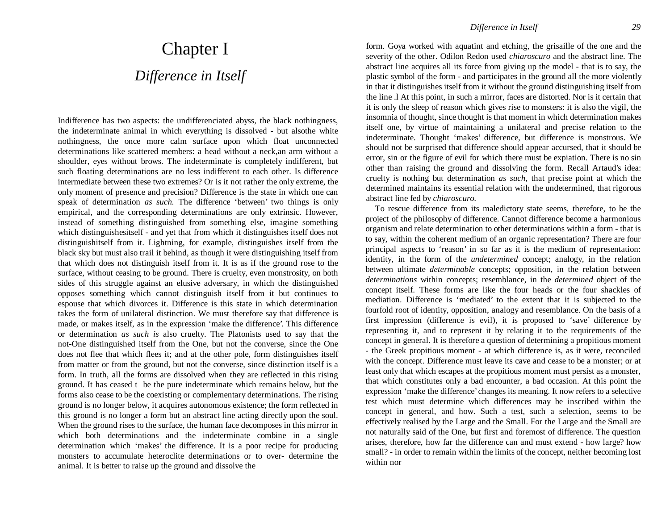### Chapter I

### *Difference in Itself*

Indifference has two aspects: the undifferenciated abyss, the black nothingness, the indeterminate animal in which everything is dissolved - but alsothe white nothingness, the once more calm surface upon which float unconnected determinations like scattered members: a head without a neck,an arm without a shoulder, eyes without brows. The indeterminate is completely indifferent, but such floating determinations are no less indifferent to each other. Is difference intermediate between these two extremes? Or is it not rather the only extreme, the only moment of presence and precision? Difference is the state in which one can speak of determination *as such.* The difference 'between' two things is only empirical, and the corresponding determinations are only extrinsic. However, instead of something distinguished from something else, imagine something which distinguishesitself - and yet that from which it distinguishes itself does not distinguishitself from it. Lightning, for example, distinguishes itself from the black sky but must also trail it behind, as though it were distinguishing itself from that which does not distinguish itself from it. It is as if the ground rose to the surface, without ceasing to be ground. There is cruelty, even monstrosity, on both sides of this struggle against an elusive adversary, in which the distinguished opposes something which cannot distinguish itself from it but continues to espouse that which divorces it. Difference is this state in which determination takes the form of unilateral distinction. We must therefore say that difference is made, or makes itself, as in the expression 'make the difference'. This difference or determination *as such is* also cruelty. The Platonists used to say that the not-One distinguished itself from the One, but not the converse, since the One does not flee that which flees it; and at the other pole, form distinguishes itself from matter or from the ground, but not the converse, since distinction itself is a form. In truth, all the forms are dissolved when they are reflected in this rising ground. It has ceased t be the pure indeterminate which remains below, but the forms also cease to be the coexisting or complementary determinations. The rising ground is no longer below, it acquires autonomous existence; the form reflected in this ground is no longer a form but an abstract line acting directly upon the soul. When the ground rises to the surface, the human face decomposes in this mirror in which both determinations and the indeterminate combine in a single determination which 'makes' the difference. It is a poor recipe for producing monsters to accumulate heteroclite determinations or to over- determine the animal. It is better to raise up the ground and dissolve the

form. Goya worked with aquatint and etching, the grisaille of the one and the severity of the other. Odilon Redon used *chiaroscuro* and the abstract line. The abstract line acquires all its force from giving up the model - that is to say, the plastic symbol of the form - and participates in the ground all the more violently in that it distinguishes itself from it without the ground distinguishing itself from the line .l At this point, in such a mirror, faces are distorted. Nor is it certain that it is only the sleep of reason which gives rise to monsters: it is also the vigil, the insomnia of thought, since thought is that moment in which determination makes itself one, by virtue of maintaining a unilateral and precise relation to the indeterminate. Thought 'makes' difference, but difference is monstrous. We should not be surprised that difference should appear accursed, that it should be error, sin or the figure of evil for which there must be expiation. There is no sin other than raising the ground and dissolving the form. Recall Artaud's idea: cruelty is nothing but determination *as such,* that precise point at which the determined maintains its essential relation with the undetermined, that rigorous abstract line fed by *chiaroscuro.* 

To rescue difference from its maledictory state seems, therefore, to be the project of the philosophy of difference. Cannot difference become a harmonious organism and relate determination to other determinations within a form - that is to say, within the coherent medium of an organic representation? There are four principal aspects to 'reason' in so far as it is the medium of representation: identity, in the form of the *undetermined* concept; analogy, in the relation between ultimate *determinable* concepts; opposition, in the relation between *determinations* within concepts; resemblance, in the *determined* object of the concept itself. These forms are like the four heads or the four shackles of mediation. Difference is 'mediated' to the extent that it is subjected to the fourfold root of identity, opposition, analogy and resemblance. On the basis of a first impression (difference is evil), it is proposed to 'save' difference by representing it, and to represent it by relating it to the requirements of the concept in general. It is therefore a question of determining a propitious moment - the Greek propitious moment - at which difference is, as it were, reconciled with the concept. Difference must leave its cave and cease to be a monster; or at least only that which escapes at the propitious moment must persist as a monster, that which constitutes only a bad encounter, a bad occasion. At this point the expression 'make the difference' changes its meaning. It now refers to a selective test which must determine which differences may be inscribed within the concept in general, and how. Such a test, such a selection, seems to be effectively realised by the Large and the Small. For the Large and the Small are not naturally said of the One, but first and foremost of difference. The question arises, therefore, how far the difference can and must extend - how large? how small? - in order to remain within the limits of the concept, neither becoming lost within nor